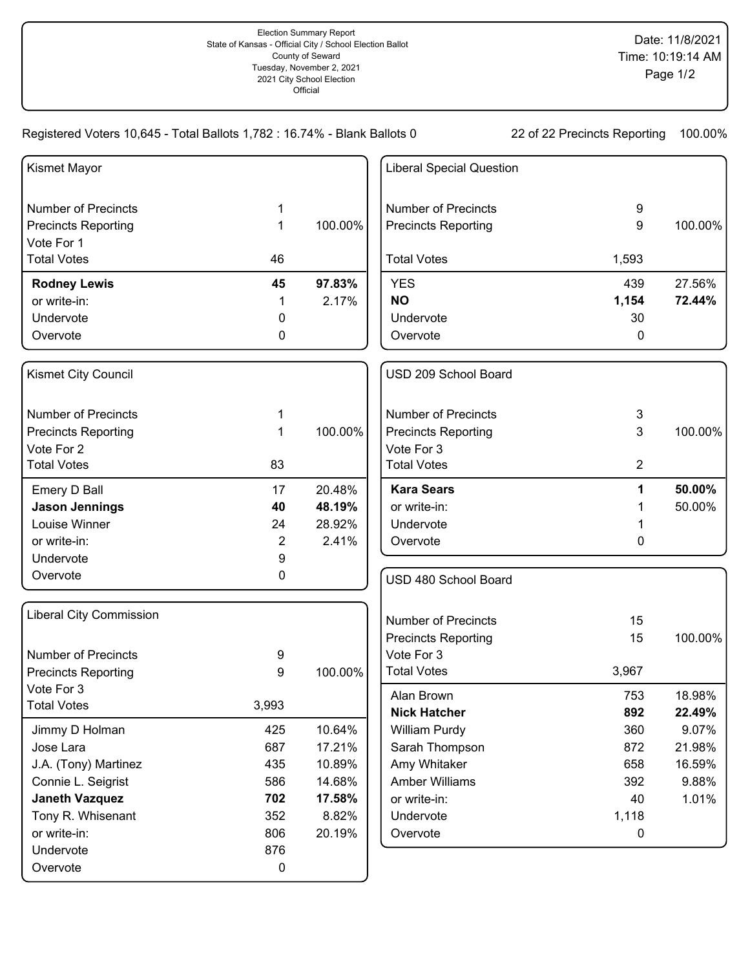Registered Voters 10,645 - Total Ballots 1,782 : 16.74% - Blank Ballots 0 22 of 22 Precincts Reporting 100.00%

| Kismet Mayor                   |                |         | <b>Liberal Special Question</b>      |                |                 |
|--------------------------------|----------------|---------|--------------------------------------|----------------|-----------------|
| <b>Number of Precincts</b>     | 1              |         | <b>Number of Precincts</b>           | 9              |                 |
| <b>Precincts Reporting</b>     | 1              | 100.00% | <b>Precincts Reporting</b>           | 9              | 100.00%         |
| Vote For 1                     |                |         |                                      |                |                 |
| <b>Total Votes</b>             | 46             |         | <b>Total Votes</b>                   | 1,593          |                 |
| <b>Rodney Lewis</b>            | 45             | 97.83%  | <b>YES</b>                           | 439            | 27.56%          |
| or write-in:                   | 1              | 2.17%   | <b>NO</b>                            | 1,154          | 72.44%          |
| Undervote                      | 0              |         | Undervote                            | 30             |                 |
| Overvote                       | 0              |         | Overvote                             | 0              |                 |
| Kismet City Council            |                |         | USD 209 School Board                 |                |                 |
| <b>Number of Precincts</b>     | 1              |         | <b>Number of Precincts</b>           | 3              |                 |
| <b>Precincts Reporting</b>     | 1              | 100.00% | <b>Precincts Reporting</b>           | 3              | 100.00%         |
| Vote For 2                     |                |         | Vote For 3                           |                |                 |
| <b>Total Votes</b>             | 83             |         | <b>Total Votes</b>                   | $\overline{2}$ |                 |
| Emery D Ball                   | 17             | 20.48%  | <b>Kara Sears</b>                    | 1              | 50.00%          |
| <b>Jason Jennings</b>          | 40             | 48.19%  | or write-in:                         |                | 50.00%          |
| Louise Winner                  | 24             | 28.92%  | Undervote                            |                |                 |
| or write-in:                   | $\overline{2}$ | 2.41%   | Overvote                             | 0              |                 |
| Undervote                      | 9              |         |                                      |                |                 |
| Overvote                       | 0              |         | USD 480 School Board                 |                |                 |
| <b>Liberal City Commission</b> |                |         | <b>Number of Precincts</b>           | 15             |                 |
|                                |                |         | <b>Precincts Reporting</b>           | 15             | 100.00%         |
| <b>Number of Precincts</b>     | 9              |         | Vote For 3                           |                |                 |
| <b>Precincts Reporting</b>     | 9              | 100.00% | <b>Total Votes</b>                   | 3,967          |                 |
| Vote For 3                     |                |         |                                      |                |                 |
| <b>Total Votes</b>             | 3,993          |         | Alan Brown                           | 753            | 18.98%          |
| Jimmy D Holman                 | 425            | 10.64%  | <b>Nick Hatcher</b><br>William Purdy | 892<br>360     | 22.49%<br>9.07% |
| Jose Lara                      | 687            | 17.21%  | Sarah Thompson                       | 872            | 21.98%          |
| J.A. (Tony) Martinez           | 435            | 10.89%  | Amy Whitaker                         | 658            | 16.59%          |
| Connie L. Seigrist             | 586            | 14.68%  | <b>Amber Williams</b>                | 392            | 9.88%           |
| <b>Janeth Vazquez</b>          | 702            | 17.58%  | or write-in:                         | 40             | 1.01%           |
| Tony R. Whisenant              | 352            | 8.82%   | Undervote                            | 1,118          |                 |
| or write-in:                   | 806            | 20.19%  | Overvote                             | $\mathbf 0$    |                 |
| Undervote                      | 876            |         |                                      |                |                 |
| Overvote                       | $\pmb{0}$      |         |                                      |                |                 |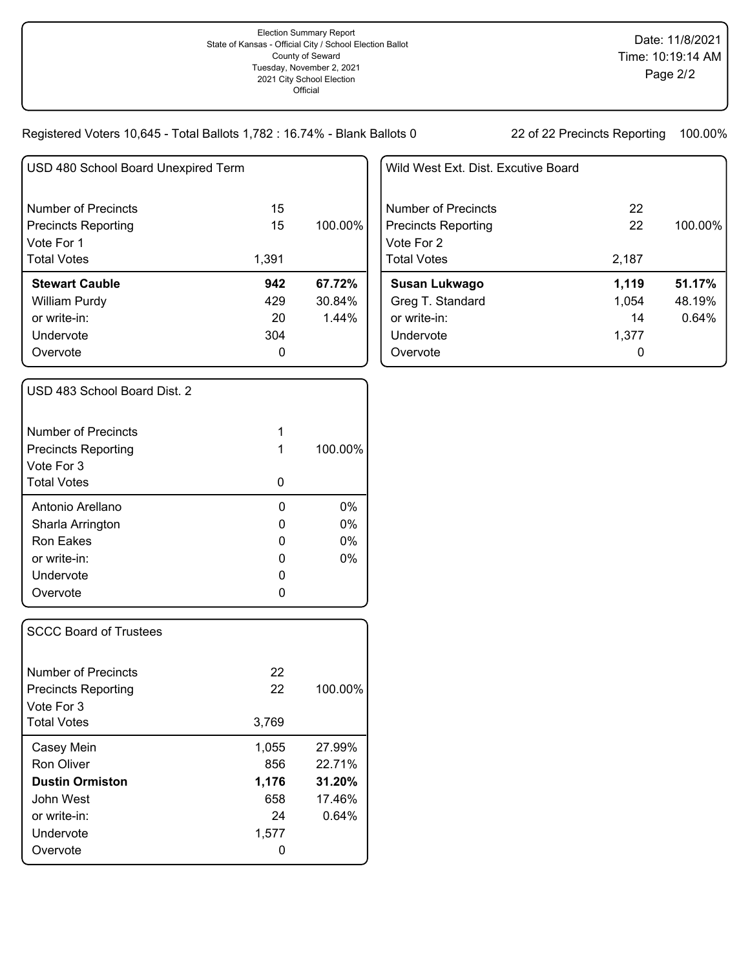Registered Voters 10,645 - Total Ballots 1,782 : 16.74% - Blank Ballots 0 22 of 22 Precincts Reporting 100.00%

| USD 480 School Board Unexpired Term |       |          |
|-------------------------------------|-------|----------|
| Number of Precincts                 | 15    |          |
| <b>Precincts Reporting</b>          | 15    | 100.00%  |
| Vote For 1                          |       |          |
| <b>Total Votes</b>                  | 1,391 |          |
| <b>Stewart Cauble</b>               | 942   | 67.72%   |
| William Purdy                       | 429   | 30.84%   |
| or write-in:                        | 20    | $1.44\%$ |
| Undervote                           | 304   |          |
| Overvote                            | 0     |          |
|                                     |       |          |

| Wild West Ext. Dist. Excutive Board |       |         |
|-------------------------------------|-------|---------|
| Number of Precincts                 | 22    |         |
| <b>Precincts Reporting</b>          | 22    | 100.00% |
| Vote For 2                          |       |         |
| <b>Total Votes</b>                  | 2.187 |         |
| Susan Lukwago                       | 1,119 | 51.17%  |
| Greg T. Standard                    | 1,054 | 48.19%  |
| or write-in:                        | 14    | 0.64%   |
| Undervote                           | 1,377 |         |
| Overvote                            |       |         |

| USD 483 School Board Dist. 2 |   |         |
|------------------------------|---|---------|
| Number of Precincts          | 1 |         |
| <b>Precincts Reporting</b>   | 1 | 100.00% |
| Vote For 3                   |   |         |
| <b>Total Votes</b>           | ი |         |
| Antonio Arellano             | 0 | $0\%$   |
| Sharla Arrington             | O | $0\%$   |
| <b>Ron Eakes</b>             | 0 | $0\%$   |
| or write-in:                 | O | $0\%$   |
| Undervote                    | O |         |
| Overvote                     |   |         |
|                              |   |         |

| <b>SCCC Board of Trustees</b>                     |          |         |
|---------------------------------------------------|----------|---------|
| Number of Precincts<br><b>Precincts Reporting</b> | 22<br>22 | 100.00% |
| Vote For 3<br><b>Total Votes</b>                  | 3,769    |         |
| Casey Mein                                        | 1,055    | 27.99%  |
| Ron Oliver                                        | 856      | 22.71%  |
| <b>Dustin Ormiston</b>                            | 1,176    | 31.20%  |
| John West                                         | 658      | 17.46%  |
| or write-in:                                      | 24       | 0.64%   |
| Undervote                                         | 1,577    |         |
| Overvote                                          |          |         |